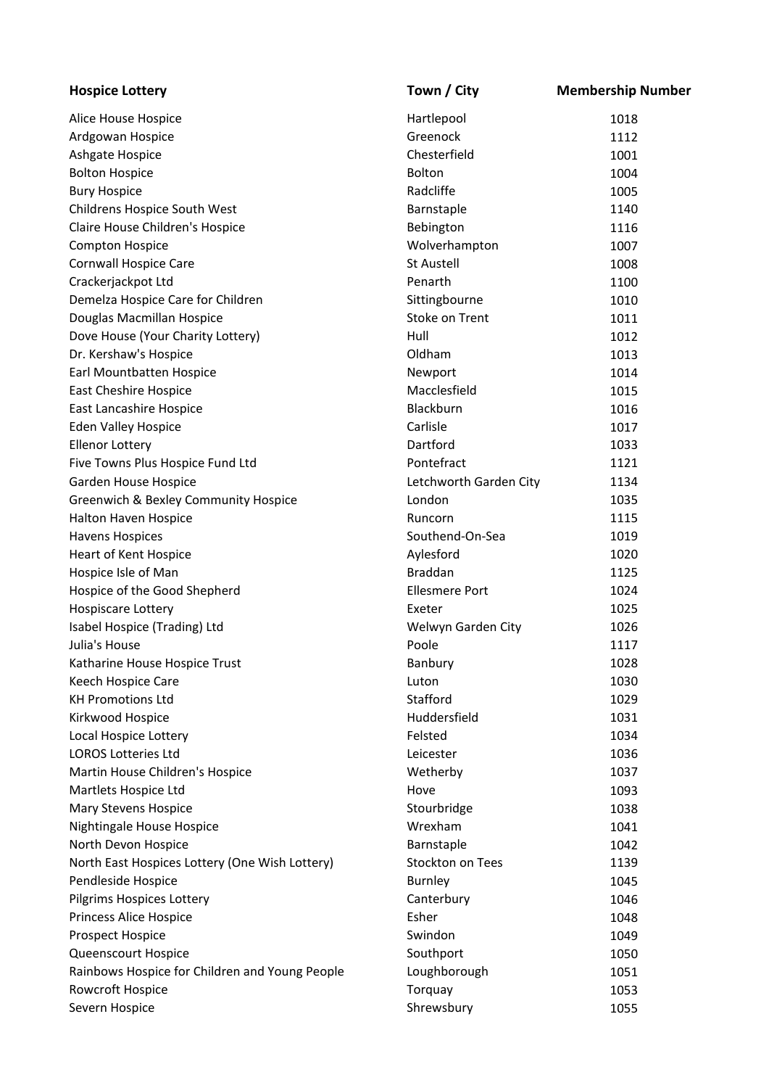| <b>Hospice Lottery</b>                         | Town / City                 | <b>Membership Number</b> |
|------------------------------------------------|-----------------------------|--------------------------|
| Alice House Hospice                            | Hartlepool                  | 1018                     |
| Ardgowan Hospice                               | Greenock                    | 1112                     |
| Ashgate Hospice                                | Chesterfield                | 1001                     |
| <b>Bolton Hospice</b>                          | <b>Bolton</b>               | 1004                     |
| <b>Bury Hospice</b>                            | Radcliffe                   | 1005                     |
| Childrens Hospice South West                   | Barnstaple                  | 1140                     |
| Claire House Children's Hospice                | Bebington                   | 1116                     |
| Compton Hospice                                | Wolverhampton               | 1007                     |
| Cornwall Hospice Care                          | <b>St Austell</b>           | 1008                     |
| Crackerjackpot Ltd                             | Penarth                     | 1100                     |
| Demelza Hospice Care for Children              | Sittingbourne               | 1010                     |
| Douglas Macmillan Hospice                      | Stoke on Trent              | 1011                     |
| Dove House (Your Charity Lottery)              | Hull                        | 1012                     |
| Dr. Kershaw's Hospice                          | Oldham                      | 1013                     |
| Earl Mountbatten Hospice                       | Newport                     | 1014                     |
| East Cheshire Hospice                          | Macclesfield                | 1015                     |
| East Lancashire Hospice                        | Blackburn                   | 1016                     |
| <b>Eden Valley Hospice</b>                     | Carlisle                    | 1017                     |
| <b>Ellenor Lottery</b>                         | Dartford                    | 1033                     |
| Five Towns Plus Hospice Fund Ltd               | Pontefract                  | 1121                     |
| Garden House Hospice                           | Letchworth Garden City      | 1134                     |
| Greenwich & Bexley Community Hospice           | London                      | 1035                     |
| Halton Haven Hospice                           | Runcorn                     | 1115                     |
| <b>Havens Hospices</b>                         | Southend-On-Sea             | 1019                     |
| Heart of Kent Hospice                          | Aylesford                   | 1020                     |
| Hospice Isle of Man                            | <b>Braddan</b>              | 1125                     |
| Hospice of the Good Shepherd                   | <b>Ellesmere Port</b>       | 1024                     |
| Hospiscare Lottery                             | Exeter                      | 1025                     |
|                                                |                             |                          |
| Isabel Hospice (Trading) Ltd<br>Julia's House  | Welwyn Garden City<br>Poole | 1026                     |
|                                                |                             | 1117                     |
| Katharine House Hospice Trust                  | Banbury                     | 1028                     |
| Keech Hospice Care<br><b>KH Promotions Ltd</b> | Luton                       | 1030                     |
|                                                | Stafford                    | 1029                     |
| Kirkwood Hospice                               | Huddersfield                | 1031                     |
| Local Hospice Lottery                          | Felsted                     | 1034                     |
| <b>LOROS Lotteries Ltd</b>                     | Leicester                   | 1036                     |
| Martin House Children's Hospice                | Wetherby                    | 1037                     |
| Martlets Hospice Ltd                           | Hove                        | 1093                     |
| Mary Stevens Hospice                           | Stourbridge                 | 1038                     |
| Nightingale House Hospice                      | Wrexham                     | 1041                     |
| North Devon Hospice                            | Barnstaple                  | 1042                     |
| North East Hospices Lottery (One Wish Lottery) | Stockton on Tees            | 1139                     |
| Pendleside Hospice                             | <b>Burnley</b>              | 1045                     |
| Pilgrims Hospices Lottery                      | Canterbury                  | 1046                     |
| Princess Alice Hospice                         | Esher                       | 1048                     |
| Prospect Hospice                               | Swindon                     | 1049                     |
| Queenscourt Hospice                            | Southport                   | 1050                     |
| Rainbows Hospice for Children and Young People | Loughborough                | 1051                     |
| Rowcroft Hospice                               | Torquay                     | 1053                     |
| Severn Hospice                                 | Shrewsbury                  | 1055                     |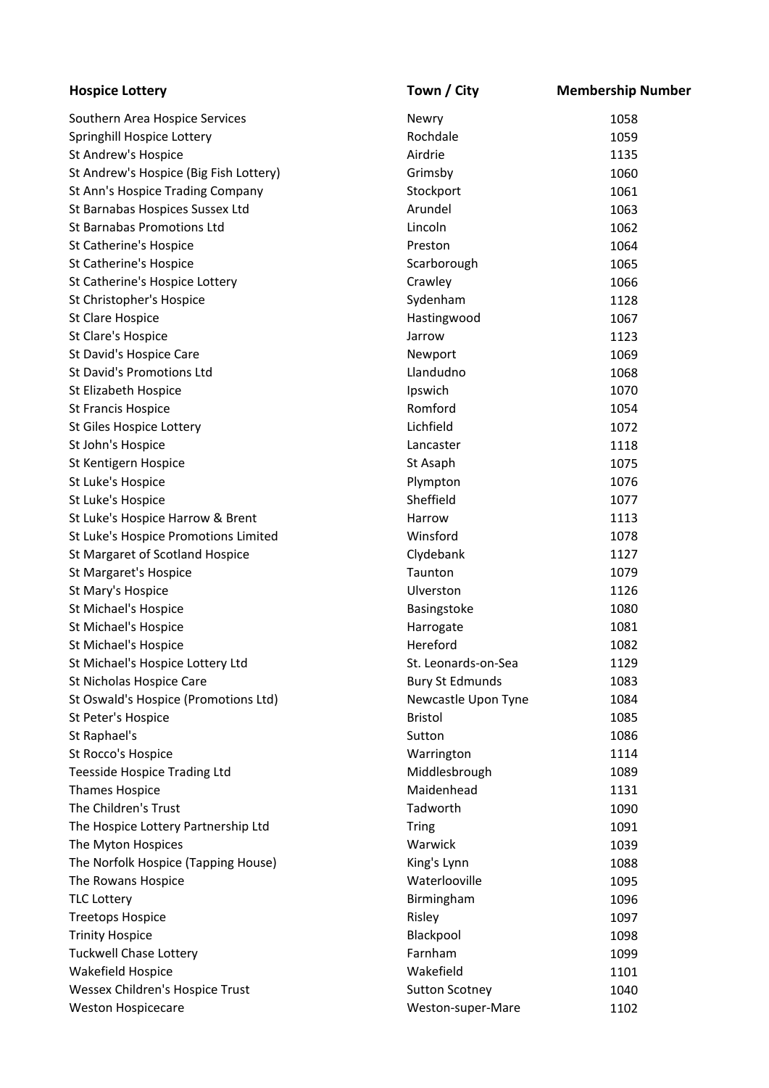| <b>Hospice Lottery</b>                 | Town / City            | <b>Membership Number</b> |
|----------------------------------------|------------------------|--------------------------|
| Southern Area Hospice Services         | Newry                  | 1058                     |
| Springhill Hospice Lottery             | Rochdale               | 1059                     |
| St Andrew's Hospice                    | Airdrie                | 1135                     |
| St Andrew's Hospice (Big Fish Lottery) | Grimsby                | 1060                     |
| St Ann's Hospice Trading Company       | Stockport              | 1061                     |
| St Barnabas Hospices Sussex Ltd        | Arundel                | 1063                     |
| <b>St Barnabas Promotions Ltd</b>      | Lincoln                | 1062                     |
| St Catherine's Hospice                 | Preston                | 1064                     |
| St Catherine's Hospice                 | Scarborough            | 1065                     |
| St Catherine's Hospice Lottery         | Crawley                | 1066                     |
| St Christopher's Hospice               | Sydenham               | 1128                     |
| St Clare Hospice                       | Hastingwood            | 1067                     |
| St Clare's Hospice                     | Jarrow                 | 1123                     |
| St David's Hospice Care                | Newport                | 1069                     |
| St David's Promotions Ltd              | Llandudno              | 1068                     |
| St Elizabeth Hospice                   | Ipswich                | 1070                     |
| <b>St Francis Hospice</b>              | Romford                | 1054                     |
| St Giles Hospice Lottery               | Lichfield              | 1072                     |
| St John's Hospice                      | Lancaster              | 1118                     |
| St Kentigern Hospice                   | St Asaph               | 1075                     |
| St Luke's Hospice                      | Plympton               | 1076                     |
| St Luke's Hospice                      | Sheffield              | 1077                     |
| St Luke's Hospice Harrow & Brent       | Harrow                 | 1113                     |
| St Luke's Hospice Promotions Limited   | Winsford               | 1078                     |
| St Margaret of Scotland Hospice        | Clydebank              | 1127                     |
| St Margaret's Hospice                  | Taunton                | 1079                     |
| St Mary's Hospice                      | Ulverston              | 1126                     |
| St Michael's Hospice                   | Basingstoke            | 1080                     |
| St Michael's Hospice                   | Harrogate              | 1081                     |
| St Michael's Hospice                   | Hereford               | 1082                     |
| St Michael's Hospice Lottery Ltd       | St. Leonards-on-Sea    | 1129                     |
| St Nicholas Hospice Care               | <b>Bury St Edmunds</b> | 1083                     |
| St Oswald's Hospice (Promotions Ltd)   | Newcastle Upon Tyne    | 1084                     |
| St Peter's Hospice                     | <b>Bristol</b>         | 1085                     |
| St Raphael's                           | Sutton                 | 1086                     |
| St Rocco's Hospice                     | Warrington             | 1114                     |
| <b>Teesside Hospice Trading Ltd</b>    | Middlesbrough          | 1089                     |
| <b>Thames Hospice</b>                  | Maidenhead             | 1131                     |
| The Children's Trust                   | Tadworth               | 1090                     |
| The Hospice Lottery Partnership Ltd    | <b>Tring</b>           | 1091                     |
| The Myton Hospices                     | Warwick                | 1039                     |
| The Norfolk Hospice (Tapping House)    | King's Lynn            | 1088                     |
| The Rowans Hospice                     | Waterlooville          | 1095                     |
| <b>TLC Lottery</b>                     | Birmingham             | 1096                     |
| <b>Treetops Hospice</b>                | Risley                 | 1097                     |
| <b>Trinity Hospice</b>                 | Blackpool              | 1098                     |
| <b>Tuckwell Chase Lottery</b>          | Farnham                | 1099                     |
| Wakefield Hospice                      | Wakefield              | 1101                     |
| Wessex Children's Hospice Trust        | <b>Sutton Scotney</b>  | 1040                     |
|                                        |                        |                          |
| <b>Weston Hospicecare</b>              | Weston-super-Mare      | 1102                     |